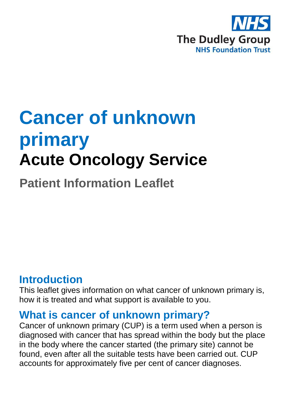

# **Cancer of unknown primary Acute Oncology Service**

**Patient Information Leaflet**

## **Introduction**

This leaflet gives information on what cancer of unknown primary is, how it is treated and what support is available to you.

#### **What is cancer of unknown primary?**

Cancer of unknown primary (CUP) is a term used when a person is diagnosed with cancer that has spread within the body but the place in the body where the cancer started (the primary site) cannot be found, even after all the suitable tests have been carried out. CUP accounts for approximately five per cent of cancer diagnoses.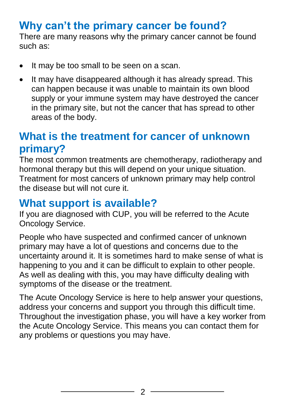# **Why can't the primary cancer be found?**

There are many reasons why the primary cancer cannot be found such as:

- It may be too small to be seen on a scan.
- It may have disappeared although it has already spread. This can happen because it was unable to maintain its own blood supply or your immune system may have destroyed the cancer in the primary site, but not the cancer that has spread to other areas of the body.

## **What is the treatment for cancer of unknown primary?**

The most common treatments are chemotherapy, radiotherapy and hormonal therapy but this will depend on your unique situation. Treatment for most cancers of unknown primary may help control the disease but will not cure it.

## **What support is available?**

If you are diagnosed with CUP, you will be referred to the Acute Oncology Service.

People who have suspected and confirmed cancer of unknown primary may have a lot of questions and concerns due to the uncertainty around it. It is sometimes hard to make sense of what is happening to you and it can be difficult to explain to other people. As well as dealing with this, you may have difficulty dealing with symptoms of the disease or the treatment.

The Acute Oncology Service is here to help answer your questions, address your concerns and support you through this difficult time. Throughout the investigation phase, you will have a key worker from the Acute Oncology Service. This means you can contact them for any problems or questions you may have.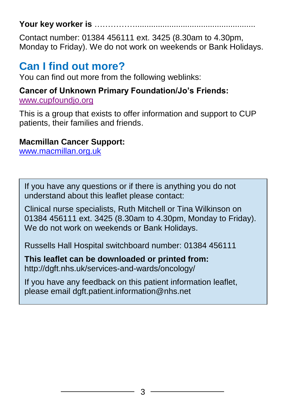#### Your key worker is ……….

Contact number: 01384 456111 ext. 3425 (8.30am to 4.30pm, Monday to Friday). We do not work on weekends or Bank Holidays.

## **Can I find out more?**

You can find out more from the following weblinks:

#### **Cancer of Unknown Primary Foundation/Jo's Friends:**

[www.cupfoundjo.org](http://www.cupfoundjo.org/)

This is a group that exists to offer information and support to CUP patients, their families and friends.

#### **Macmillan Cancer Support:**

[www.macmillan.org.uk](http://www.macmillan.org.uk/)

If you have any questions or if there is anything you do not understand about this leaflet please contact:

Clinical nurse specialists, Ruth Mitchell or Tina Wilkinson on 01384 456111 ext. 3425 (8.30am to 4.30pm, Monday to Friday). We do not work on weekends or Bank Holidays.

Russells Hall Hospital switchboard number: 01384 456111

**This leaflet can be downloaded or printed from:** http://dgft.nhs.uk/services-and-wards/oncology/

If you have any feedback on this patient information leaflet, please email dgft.patient.information@nhs.net